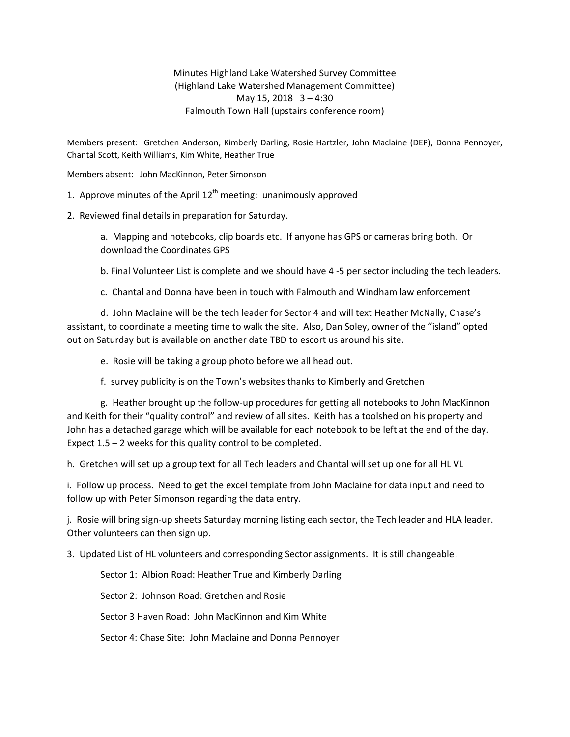Minutes Highland Lake Watershed Survey Committee (Highland Lake Watershed Management Committee) May 15, 2018 3 – 4:30 Falmouth Town Hall (upstairs conference room)

Members present: Gretchen Anderson, Kimberly Darling, Rosie Hartzler, John Maclaine (DEP), Donna Pennoyer, Chantal Scott, Keith Williams, Kim White, Heather True

Members absent: John MacKinnon, Peter Simonson

1. Approve minutes of the April  $12<sup>th</sup>$  meeting: unanimously approved

2. Reviewed final details in preparation for Saturday.

a. Mapping and notebooks, clip boards etc. If anyone has GPS or cameras bring both. Or download the Coordinates GPS

b. Final Volunteer List is complete and we should have 4 -5 per sector including the tech leaders.

c. Chantal and Donna have been in touch with Falmouth and Windham law enforcement

d. John Maclaine will be the tech leader for Sector 4 and will text Heather McNally, Chase's assistant, to coordinate a meeting time to walk the site. Also, Dan Soley, owner of the "island" opted out on Saturday but is available on another date TBD to escort us around his site.

e. Rosie will be taking a group photo before we all head out.

f. survey publicity is on the Town's websites thanks to Kimberly and Gretchen

g. Heather brought up the follow-up procedures for getting all notebooks to John MacKinnon and Keith for their "quality control" and review of all sites. Keith has a toolshed on his property and John has a detached garage which will be available for each notebook to be left at the end of the day. Expect 1.5 – 2 weeks for this quality control to be completed.

h. Gretchen will set up a group text for all Tech leaders and Chantal will set up one for all HL VL

i. Follow up process. Need to get the excel template from John Maclaine for data input and need to follow up with Peter Simonson regarding the data entry.

j. Rosie will bring sign-up sheets Saturday morning listing each sector, the Tech leader and HLA leader. Other volunteers can then sign up.

3. Updated List of HL volunteers and corresponding Sector assignments. It is still changeable!

Sector 1: Albion Road: Heather True and Kimberly Darling

Sector 2: Johnson Road: Gretchen and Rosie

Sector 3 Haven Road: John MacKinnon and Kim White

Sector 4: Chase Site: John Maclaine and Donna Pennoyer